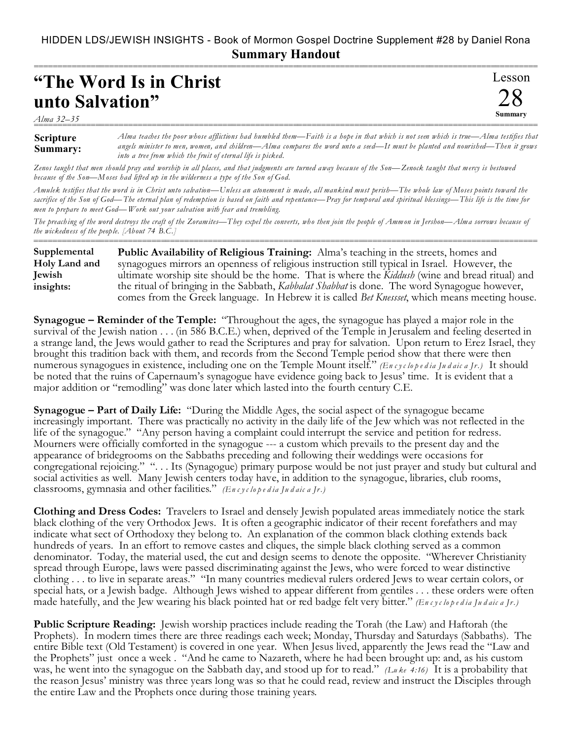## HIDDEN LDS/JEWISH INSIGHTS - Book of Mormon Gospel Doctrine Supplement #28 by Daniel Rona **Summary Handout**

===========================================================================================================

## **"The Word Is in Christ unto Salvation"**

*Alma 32–35*

| .                            |                                                                                                                                                                                                                                                                                                                                      |
|------------------------------|--------------------------------------------------------------------------------------------------------------------------------------------------------------------------------------------------------------------------------------------------------------------------------------------------------------------------------------|
| <b>Scripture</b><br>Summary: | Alma teaches the poor whose afflictions had humbled them—Faith is a hope in that which is not seen which is true—Alma testifies that<br>angels minister to men, women, and children—Alma compares the word unto a seed—It must be planted and nourished—Then it grows<br>into a tree from which the fruit of eternal life is picked. |

Lesson

28 **Summary**

*Zenos taught that men should pray and worship in all places, and that judgments are turned away because of the Son—Zenock taught that mercy is bestowed because of the Son—Moses had lifted up in the wilderness a type of the Son of God.*

*Amulek testifies that the word is in Christ unto salvation—Unless an atonement is made, all mankind must perish—The whole law of Moses points toward the sacrifice of the Son of God—The eternal plan of redemption is based on faith and repentance—Pray for temporal and spiritual blessings—This life is the time for men to prepare to meet God—Work out your salvation with fear and trembling.*

*The preaching of the word destroys the craft of the Zoramites—They expel the converts, who then join the people of Ammon in Jershon—Alma sorrows because of the wickedness of the people. [About 74 B.C.]*

=========================================================================================================== **Public Availability of Religious Training:** Alma's teaching in the streets, homes and synagogues mirrors an openness of religious instruction still typical in Israel. However, the ultimate worship site should be the home. That is where the *Kiddush* (wine and bread ritual) and the ritual of bringing in the Sabbath, *Kabbalat Shabbat* is done. The word Synagogue however, comes from the Greek language. In Hebrew it is called *Bet Knessset*, which means meeting house. **Supplemental Holy Land and Jewish insights:**

**Synagogue – Reminder of the Temple:** "Throughout the ages, the synagogue has played a major role in the survival of the Jewish nation . . . (in 586 B.C.E.) when, deprived of the Temple in Jerusalem and feeling deserted in a strange land, the Jews would gather to read the Scriptures and pray for salvation. Upon return to Erez Israel, they brought this tradition back with them, and records from the Second Temple period show that there were then numerous synagogues in existence, including one on the Temple Mount itself." *(En c y c lo p e d ia Ju d aic a Jr.)* It should be noted that the ruins of Capernaum's synagogue have evidence going back to Jesus' time. It is evident that a major addition or "remodling" was done later which lasted into the fourth century C.E.

**Synagogue – Part of Daily Life:** "During the Middle Ages, the social aspect of the synagogue became increasingly important. There was practically no activity in the daily life of the Jew which was not reflected in the life of the synagogue." "Any person having a complaint could interrupt the service and petition for redress. Mourners were officially comforted in the synagogue --- a custom which prevails to the present day and the appearance of bridegrooms on the Sabbaths preceding and following their weddings were occasions for congregational rejoicing." ". . . Its (Synagogue) primary purpose would be not just prayer and study but cultural and social activities as well. Many Jewish centers today have, in addition to the synagogue, libraries, club rooms, classrooms, gymnasia and other facilities." *(En c y c lo p e d ia Ju d aic a Jr.)*

**Clothing and Dress Codes:** Travelers to Israel and densely Jewish populated areas immediately notice the stark black clothing of the very Orthodox Jews. It is often a geographic indicator of their recent forefathers and may indicate what sect of Orthodoxy they belong to. An explanation of the common black clothing extends back hundreds of years. In an effort to remove castes and cliques, the simple black clothing served as a common denominator. Today, the material used, the cut and design seems to denote the opposite. "Wherever Christianity spread through Europe, laws were passed discriminating against the Jews, who were forced to wear distinctive clothing . . . to live in separate areas." "In many countries medieval rulers ordered Jews to wear certain colors, or special hats, or a Jewish badge. Although Jews wished to appear different from gentiles . . . these orders were often made hatefully, and the Jew wearing his black pointed hat or red badge felt very bitter." *(En c y c lo p e d ia Ju d aic a Jr.)*

**Public Scripture Reading:** Jewish worship practices include reading the Torah (the Law) and Haftorah (the Prophets). In modern times there are three readings each week; Monday, Thursday and Saturdays (Sabbaths). The entire Bible text (Old Testament) is covered in one year. When Jesus lived, apparently the Jews read the "Law and the Prophets" just once a week . "And he came to Nazareth, where he had been brought up: and, as his custom was, he went into the synagogue on the Sabbath day, and stood up for to read." *(Lu ke 4:16)* It is a probability that the reason Jesus' ministry was three years long was so that he could read, review and instruct the Disciples through the entire Law and the Prophets once during those training years.